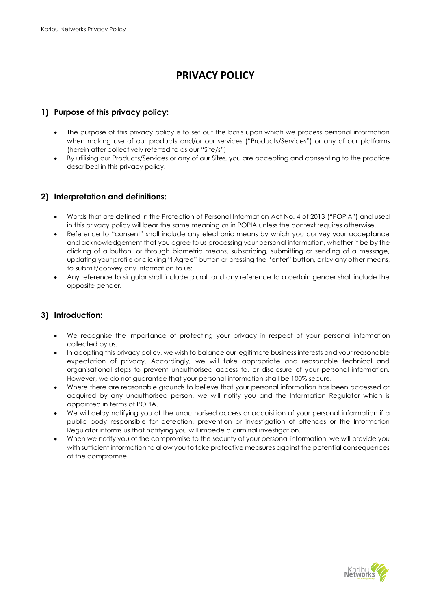# **PRIVACY POLICY**

## **1) Purpose of this privacy policy:**

- The purpose of this privacy policy is to set out the basis upon which we process personal information when making use of our products and/or our services ("Products/Services") or any of our platforms (herein after collectively referred to as our "Site/s")
- By utilising our Products/Services or any of our Sites, you are accepting and consenting to the practice described in this privacy policy.

#### **2) Interpretation and definitions:**

- Words that are defined in the Protection of Personal Information Act No. 4 of 2013 ("POPIA") and used in this privacy policy will bear the same meaning as in POPIA unless the context requires otherwise.
- Reference to "consent" shall include any electronic means by which you convey your acceptance and acknowledgement that you agree to us processing your personal information, whether it be by the clicking of a button, or through biometric means, subscribing, submitting or sending of a message, updating your profile or clicking "I Agree" button or pressing the "enter" button, or by any other means, to submit/convey any information to us;
- Any reference to singular shall include plural, and any reference to a certain gender shall include the opposite gender.

## **3) Introduction:**

- We recognise the importance of protecting your privacy in respect of your personal information collected by us.
- In adopting this privacy policy, we wish to balance our legitimate business interests and your reasonable expectation of privacy. Accordingly, we will take appropriate and reasonable technical and organisational steps to prevent unauthorised access to, or disclosure of your personal information. However, we do not guarantee that your personal information shall be 100% secure.
- Where there are reasonable grounds to believe that your personal information has been accessed or acquired by any unauthorised person, we will notify you and the Information Regulator which is appointed in terms of POPIA.
- We will delay notifying you of the unauthorised access or acquisition of your personal information if a public body responsible for detection, prevention or investigation of offences or the Information Regulator informs us that notifying you will impede a criminal investigation.
- When we notify you of the compromise to the security of your personal information, we will provide you with sufficient information to allow you to take protective measures against the potential consequences of the compromise.

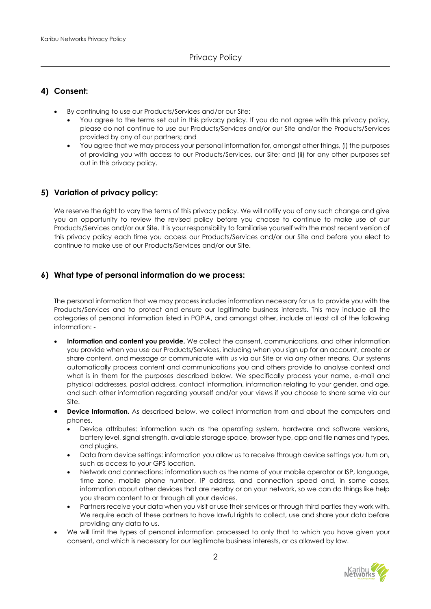## **4) Consent:**

- By continuing to use our Products/Services and/or our Site:
	- You agree to the terms set out in this privacy policy. If you do not agree with this privacy policy, please do not continue to use our Products/Services and/or our Site and/or the Products/Services provided by any of our partners; and
	- You agree that we may process your personal information for, amongst other things, (i) the purposes of providing you with access to our Products/Services, our Site; and (ii) for any other purposes set out in this privacy policy.

#### **5) Variation of privacy policy:**

We reserve the right to vary the terms of this privacy policy. We will notify you of any such change and give you an opportunity to review the revised policy before you choose to continue to make use of our Products/Services and/or our Site. It is your responsibility to familiarise yourself with the most recent version of this privacy policy each time you access our Products/Services and/or our Site and before you elect to continue to make use of our Products/Services and/or our Site.

## **6) What type of personal information do we process:**

The personal information that we may process includes information necessary for us to provide you with the Products/Services and to protect and ensure our legitimate business interests. This may include all the categories of personal information listed in POPIA, and amongst other, include at least all of the following information: -

- **Information and content you provide.** We collect the consent, communications, and other information you provide when you use our Products/Services, including when you sign up for an account, create or share content, and message or communicate with us via our Site or via any other means. Our systems automatically process content and communications you and others provide to analyse context and what is in them for the purposes described below. We specifically process your name, e-mail and physical addresses, postal address, contact information, information relating to your gender, and age, and such other information regarding yourself and/or your views if you choose to share same via our Site.
- **Device Information.** As described below, we collect information from and about the computers and phones.
	- Device attributes: information such as the operating system, hardware and software versions, battery level, signal strength, available storage space, browser type, app and file names and types, and plugins.
	- Data from device settings: information you allow us to receive through device settings you turn on, such as access to your GPS location.
	- Network and connections: information such as the name of your mobile operator or ISP, language, time zone, mobile phone number, IP address, and connection speed and, in some cases, information about other devices that are nearby or on your network, so we can do things like help you stream content to or through all your devices.
	- Partners receive your data when you visit or use their services or through third parties they work with. We require each of these partners to have lawful rights to collect, use and share your data before providing any data to us.
- We will limit the types of personal information processed to only that to which you have given your consent, and which is necessary for our legitimate business interests, or as allowed by law.

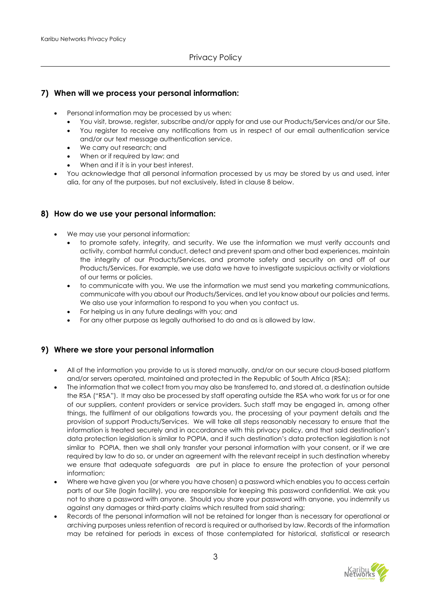#### **7) When will we process your personal information:**

- Personal information may be processed by us when:
	- You visit, browse, register, subscribe and/or apply for and use our Products/Services and/or our Site.
	- You register to receive any notifications from us in respect of our email authentication service and/or our text message authentication service.
	- We carry out research; and
	- When or if required by law; and
	- When and if it is in your best interest.
- You acknowledge that all personal information processed by us may be stored by us and used, inter alia, for any of the purposes, but not exclusively, listed in clause 8 below.

#### **8) How do we use your personal information:**

- We may use your personal information:
	- to promote safety, integrity, and security. We use the information we must verify accounts and activity, combat harmful conduct, detect and prevent spam and other bad experiences, maintain the integrity of our Products/Services, and promote safety and security on and off of our Products/Services. For example, we use data we have to investigate suspicious activity or violations of our terms or policies.
	- to communicate with you. We use the information we must send you marketing communications, communicate with you about our Products/Services, and let you know about our policies and terms. We also use your information to respond to you when you contact us.
	- For helping us in any future dealings with you; and
	- For any other purpose as legally authorised to do and as is allowed by law.

#### **9) Where we store your personal information**

- All of the information you provide to us is stored manually, and/or on our secure cloud-based platform and/or servers operated, maintained and protected in the Republic of South Africa (RSA);
- The information that we collect from you may also be transferred to, and stored at, a destination outside the RSA ("RSA"). It may also be processed by staff operating outside the RSA who work for us or for one of our suppliers, content providers or service providers. Such staff may be engaged in, among other things, the fulfilment of our obligations towards you, the processing of your payment details and the provision of support Products/Services. We will take all steps reasonably necessary to ensure that the information is treated securely and in accordance with this privacy policy, and that said destination's data protection legislation is similar to POPIA, and if such destination's data protection legislation is not similar to POPIA, then we shall only transfer your personal information with your consent, or if we are required by law to do so, or under an agreement with the relevant receipt in such destination whereby we ensure that adequate safeguards are put in place to ensure the protection of your personal information;
- Where we have given you (or where you have chosen) a password which enables you to access certain parts of our Site (login facility), you are responsible for keeping this password confidential. We ask you not to share a password with anyone. Should you share your password with anyone, you indemnify us against any damages or third-party claims which resulted from said sharing;
- Records of the personal information will not be retained for longer than is necessary for operational or archiving purposes unless retention of record is required or authorised by law. Records of the information may be retained for periods in excess of those contemplated for historical, statistical or research

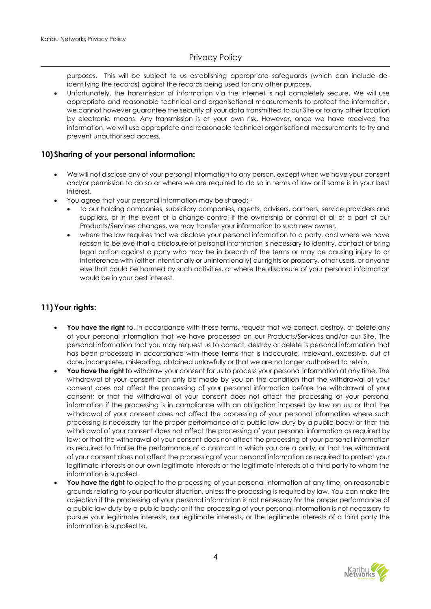purposes. This will be subject to us establishing appropriate safeguards (which can include deidentifying the records) against the records being used for any other purpose.

• Unfortunately, the transmission of information via the internet is not completely secure. We will use appropriate and reasonable technical and organisational measurements to protect the information, we cannot however guarantee the security of your data transmitted to our Site or to any other location by electronic means. Any transmission is at your own risk. However, once we have received the information, we will use appropriate and reasonable technical organisational measurements to try and prevent unauthorised access.

#### **10)Sharing of your personal information:**

- We will not disclose any of your personal information to any person, except when we have your consent and/or permission to do so or where we are required to do so in terms of law or if same is in your best interest.
- You agree that your personal information may be shared:
	- to our holding companies, subsidiary companies, agents, advisers, partners, service providers and suppliers, or in the event of a change control if the ownership or control of all or a part of our Products/Services changes, we may transfer your information to such new owner.
	- where the law requires that we disclose your personal information to a party, and where we have reason to believe that a disclosure of personal information is necessary to identify, contact or bring legal action against a party who may be in breach of the terms or may be causing injury to or interference with (either intentionally or unintentionally) our rights or property, other users, or anyone else that could be harmed by such activities, or where the disclosure of your personal information would be in your best interest.

## **11)Your rights:**

- **You have the right** to, in accordance with these terms, request that we correct, destroy, or delete any of your personal information that we have processed on our Products/Services and/or our Site. The personal information that you may request us to correct, destroy or delete is personal information that has been processed in accordance with these terms that is inaccurate, irrelevant, excessive, out of date, incomplete, misleading, obtained unlawfully or that we are no longer authorised to retain.
- **You have the right** to withdraw your consent for us to process your personal information at any time. The withdrawal of your consent can only be made by you on the condition that the withdrawal of your consent does not affect the processing of your personal information before the withdrawal of your consent; or that the withdrawal of your consent does not affect the processing of your personal information if the processing is in compliance with an obligation imposed by law on us; or that the withdrawal of your consent does not affect the processing of your personal information where such processing is necessary for the proper performance of a public law duty by a public body; or that the withdrawal of your consent does not affect the processing of your personal information as required by law; or that the withdrawal of your consent does not affect the processing of your personal information as required to finalise the performance of a contract in which you are a party; or that the withdrawal of your consent does not affect the processing of your personal information as required to protect your legitimate interests or our own legitimate interests or the legitimate interests of a third party to whom the information is supplied.
- **You have the right** to object to the processing of your personal information at any time, on reasonable grounds relating to your particular situation, unless the processing is required by law. You can make the objection if the processing of your personal information is not necessary for the proper performance of a public law duty by a public body; or if the processing of your personal information is not necessary to pursue your legitimate interests, our legitimate interests, or the legitimate interests of a third party the information is supplied to.

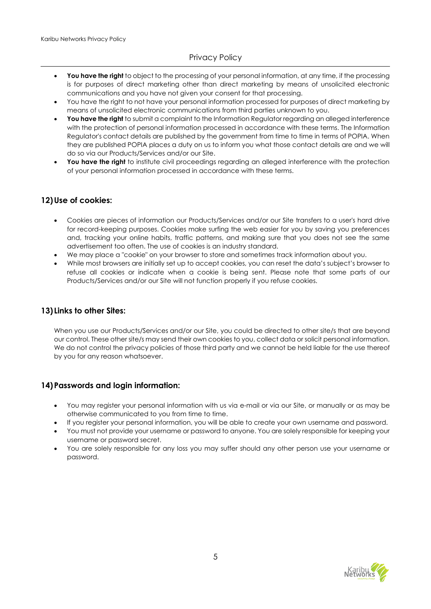## Privacy Policy

- **You have the right** to object to the processing of your personal information, at any time, if the processing is for purposes of direct marketing other than direct marketing by means of unsolicited electronic communications and you have not given your consent for that processing.
- You have the right to not have your personal information processed for purposes of direct marketing by means of unsolicited electronic communications from third parties unknown to you.
- **You have the right** to submit a complaint to the Information Regulator regarding an alleged interference with the protection of personal information processed in accordance with these terms. The Information Regulator's contact details are published by the government from time to time in terms of POPIA. When they are published POPIA places a duty on us to inform you what those contact details are and we will do so via our Products/Services and/or our Site.
- You have the right to institute civil proceedings regarding an alleged interference with the protection of your personal information processed in accordance with these terms.

## **12)Use of cookies:**

- Cookies are pieces of information our Products/Services and/or our Site transfers to a user's hard drive for record-keeping purposes. Cookies make surfing the web easier for you by saving you preferences and, tracking your online habits, traffic patterns, and making sure that you does not see the same advertisement too often. The use of cookies is an industry standard.
- We may place a "cookie" on your browser to store and sometimes track information about you.
- While most browsers are initially set up to accept cookies, you can reset the data's subject's browser to refuse all cookies or indicate when a cookie is being sent. Please note that some parts of our Products/Services and/or our Site will not function properly if you refuse cookies.

#### **13) Links to other Sites:**

When you use our Products/Services and/or our Site, you could be directed to other site/s that are beyond our control. These other site/s may send their own cookies to you, collect data or solicit personal information. We do not control the privacy policies of those third party and we cannot be held liable for the use thereof by you for any reason whatsoever.

#### **14)Passwords and login information:**

- You may register your personal information with us via e-mail or via our Site, or manually or as may be otherwise communicated to you from time to time.
- If you register your personal information, you will be able to create your own username and password.
- You must not provide your username or password to anyone. You are solely responsible for keeping your username or password secret.
- You are solely responsible for any loss you may suffer should any other person use your username or password.